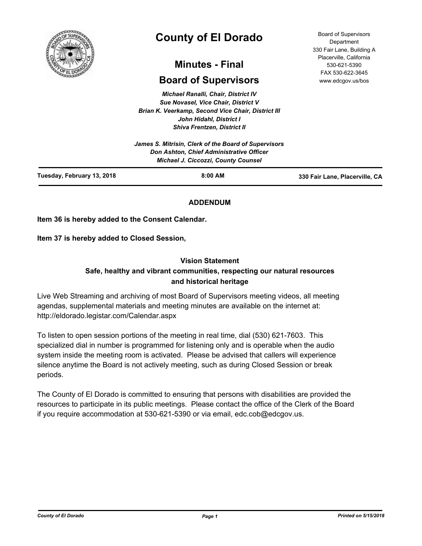

# **County of El Dorado**

## **Minutes - Final**

## **Board of Supervisors**

*Michael Ranalli, Chair, District IV Sue Novasel, Vice Chair, District V Brian K. Veerkamp, Second Vice Chair, District III John Hidahl, District I Shiva Frentzen, District II*

| Tuesday, February 13, 2018                           | $8:00$ AM                                                                                     | 330 Fair Lane, Placerville, CA |
|------------------------------------------------------|-----------------------------------------------------------------------------------------------|--------------------------------|
|                                                      | <b>Don Ashton, Chief Administrative Officer</b><br><b>Michael J. Ciccozzi, County Counsel</b> |                                |
| James S. Mitrisin, Clerk of the Board of Supervisors |                                                                                               |                                |

## **ADDENDUM**

**Item 36 is hereby added to the Consent Calendar.**

**Item 37 is hereby added to Closed Session,**

#### **Vision Statement**

## **Safe, healthy and vibrant communities, respecting our natural resources and historical heritage**

Live Web Streaming and archiving of most Board of Supervisors meeting videos, all meeting agendas, supplemental materials and meeting minutes are available on the internet at: http://eldorado.legistar.com/Calendar.aspx

To listen to open session portions of the meeting in real time, dial (530) 621-7603. This specialized dial in number is programmed for listening only and is operable when the audio system inside the meeting room is activated. Please be advised that callers will experience silence anytime the Board is not actively meeting, such as during Closed Session or break periods.

The County of El Dorado is committed to ensuring that persons with disabilities are provided the resources to participate in its public meetings. Please contact the office of the Clerk of the Board if you require accommodation at 530-621-5390 or via email, edc.cob@edcgov.us.

Board of Supervisors Department 330 Fair Lane, Building A Placerville, California 530-621-5390 FAX 530-622-3645 www.edcgov.us/bos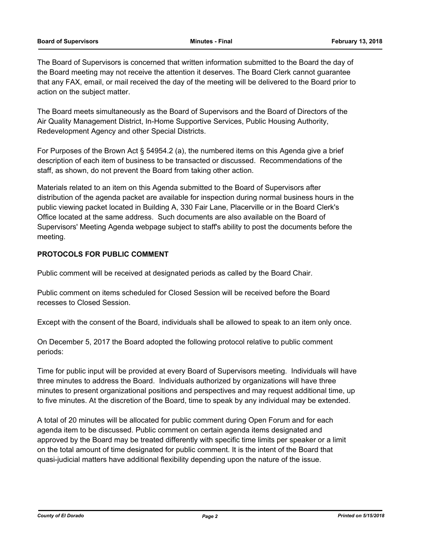#### **Board of Supervisors Minutes - Final February 13, 2018**

The Board of Supervisors is concerned that written information submitted to the Board the day of the Board meeting may not receive the attention it deserves. The Board Clerk cannot guarantee that any FAX, email, or mail received the day of the meeting will be delivered to the Board prior to action on the subject matter.

The Board meets simultaneously as the Board of Supervisors and the Board of Directors of the Air Quality Management District, In-Home Supportive Services, Public Housing Authority, Redevelopment Agency and other Special Districts.

For Purposes of the Brown Act § 54954.2 (a), the numbered items on this Agenda give a brief description of each item of business to be transacted or discussed. Recommendations of the staff, as shown, do not prevent the Board from taking other action.

Materials related to an item on this Agenda submitted to the Board of Supervisors after distribution of the agenda packet are available for inspection during normal business hours in the public viewing packet located in Building A, 330 Fair Lane, Placerville or in the Board Clerk's Office located at the same address. Such documents are also available on the Board of Supervisors' Meeting Agenda webpage subject to staff's ability to post the documents before the meeting.

## **PROTOCOLS FOR PUBLIC COMMENT**

Public comment will be received at designated periods as called by the Board Chair.

Public comment on items scheduled for Closed Session will be received before the Board recesses to Closed Session.

Except with the consent of the Board, individuals shall be allowed to speak to an item only once.

On December 5, 2017 the Board adopted the following protocol relative to public comment periods:

Time for public input will be provided at every Board of Supervisors meeting. Individuals will have three minutes to address the Board. Individuals authorized by organizations will have three minutes to present organizational positions and perspectives and may request additional time, up to five minutes. At the discretion of the Board, time to speak by any individual may be extended.

A total of 20 minutes will be allocated for public comment during Open Forum and for each agenda item to be discussed. Public comment on certain agenda items designated and approved by the Board may be treated differently with specific time limits per speaker or a limit on the total amount of time designated for public comment. It is the intent of the Board that quasi-judicial matters have additional flexibility depending upon the nature of the issue.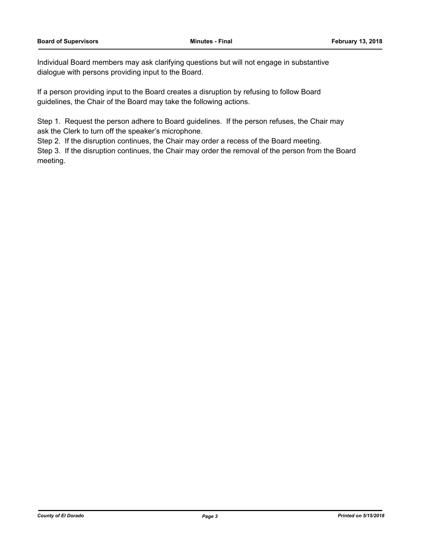Individual Board members may ask clarifying questions but will not engage in substantive dialogue with persons providing input to the Board.

If a person providing input to the Board creates a disruption by refusing to follow Board guidelines, the Chair of the Board may take the following actions.

Step 1. Request the person adhere to Board guidelines. If the person refuses, the Chair may ask the Clerk to turn off the speaker's microphone.

Step 2. If the disruption continues, the Chair may order a recess of the Board meeting.

Step 3. If the disruption continues, the Chair may order the removal of the person from the Board meeting.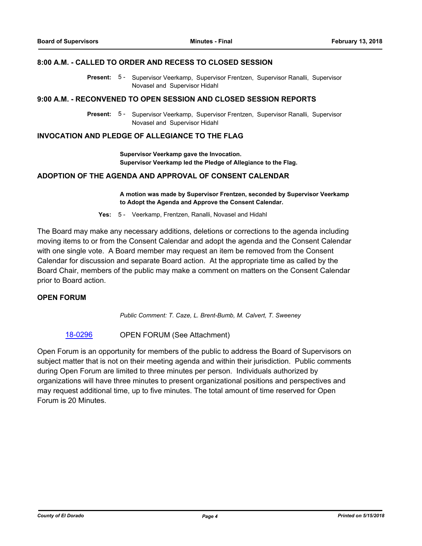#### **8:00 A.M. - CALLED TO ORDER AND RECESS TO CLOSED SESSION**

Present: 5 - Supervisor Veerkamp, Supervisor Frentzen, Supervisor Ranalli, Supervisor Novasel and Supervisor Hidahl

#### **9:00 A.M. - RECONVENED TO OPEN SESSION AND CLOSED SESSION REPORTS**

Present: 5 - Supervisor Veerkamp, Supervisor Frentzen, Supervisor Ranalli, Supervisor Novasel and Supervisor Hidahl

## **INVOCATION AND PLEDGE OF ALLEGIANCE TO THE FLAG**

**Supervisor Veerkamp gave the Invocation. Supervisor Veerkamp led the Pledge of Allegiance to the Flag.**

## **ADOPTION OF THE AGENDA AND APPROVAL OF CONSENT CALENDAR**

**A motion was made by Supervisor Frentzen, seconded by Supervisor Veerkamp to Adopt the Agenda and Approve the Consent Calendar.**

**Yes:** 5 - Veerkamp, Frentzen, Ranalli, Novasel and Hidahl

The Board may make any necessary additions, deletions or corrections to the agenda including moving items to or from the Consent Calendar and adopt the agenda and the Consent Calendar with one single vote. A Board member may request an item be removed from the Consent Calendar for discussion and separate Board action. At the appropriate time as called by the Board Chair, members of the public may make a comment on matters on the Consent Calendar prior to Board action.

## **OPEN FORUM**

*Public Comment: T. Caze, L. Brent-Bumb, M. Calvert, T. Sweeney*

#### [18-0296](http://eldorado.legistar.com/gateway.aspx?m=l&id=/matter.aspx?key=23639) OPEN FORUM (See Attachment)

Open Forum is an opportunity for members of the public to address the Board of Supervisors on subject matter that is not on their meeting agenda and within their jurisdiction. Public comments during Open Forum are limited to three minutes per person. Individuals authorized by organizations will have three minutes to present organizational positions and perspectives and may request additional time, up to five minutes. The total amount of time reserved for Open Forum is 20 Minutes.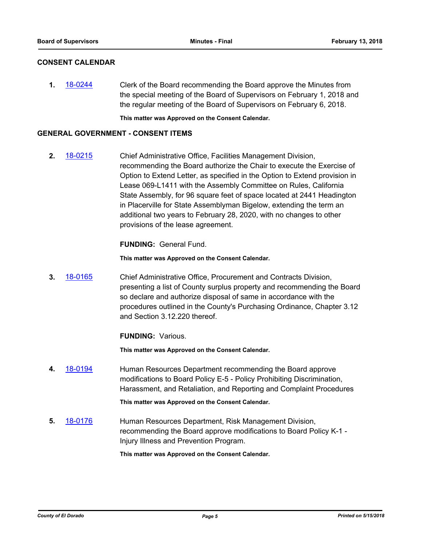## **CONSENT CALENDAR**

**1.** [18-0244](http://eldorado.legistar.com/gateway.aspx?m=l&id=/matter.aspx?key=23586) Clerk of the Board recommending the Board approve the Minutes from the special meeting of the Board of Supervisors on February 1, 2018 and the regular meeting of the Board of Supervisors on February 6, 2018.

**This matter was Approved on the Consent Calendar.**

#### **GENERAL GOVERNMENT - CONSENT ITEMS**

**2.** [18-0215](http://eldorado.legistar.com/gateway.aspx?m=l&id=/matter.aspx?key=23557) Chief Administrative Office, Facilities Management Division, recommending the Board authorize the Chair to execute the Exercise of Option to Extend Letter, as specified in the Option to Extend provision in Lease 069-L1411 with the Assembly Committee on Rules, California State Assembly, for 96 square feet of space located at 2441 Headington in Placerville for State Assemblyman Bigelow, extending the term an additional two years to February 28, 2020, with no changes to other provisions of the lease agreement.

**FUNDING:** General Fund.

**This matter was Approved on the Consent Calendar.**

**3.** [18-0165](http://eldorado.legistar.com/gateway.aspx?m=l&id=/matter.aspx?key=23507) Chief Administrative Office, Procurement and Contracts Division, presenting a list of County surplus property and recommending the Board so declare and authorize disposal of same in accordance with the procedures outlined in the County's Purchasing Ordinance, Chapter 3.12 and Section 3.12.220 thereof.

**FUNDING:** Various.

**This matter was Approved on the Consent Calendar.**

**4.** [18-0194](http://eldorado.legistar.com/gateway.aspx?m=l&id=/matter.aspx?key=23536) Human Resources Department recommending the Board approve modifications to Board Policy E-5 - Policy Prohibiting Discrimination, Harassment, and Retaliation, and Reporting and Complaint Procedures

**This matter was Approved on the Consent Calendar.**

**5.** [18-0176](http://eldorado.legistar.com/gateway.aspx?m=l&id=/matter.aspx?key=23518) Human Resources Department, Risk Management Division, recommending the Board approve modifications to Board Policy K-1 - Injury Illness and Prevention Program.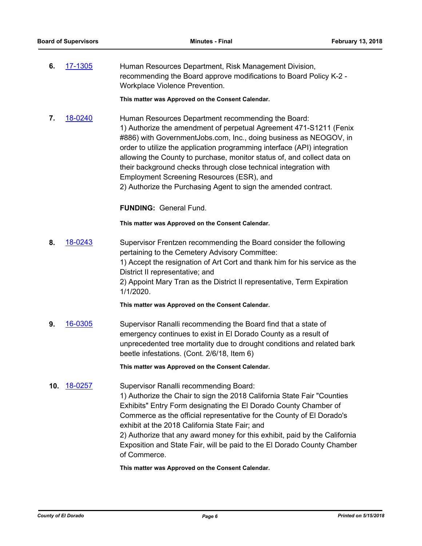**6.** [17-1305](http://eldorado.legistar.com/gateway.aspx?m=l&id=/matter.aspx?key=23249) Human Resources Department, Risk Management Division, recommending the Board approve modifications to Board Policy K-2 - Workplace Violence Prevention.

**This matter was Approved on the Consent Calendar.**

**7.** [18-0240](http://eldorado.legistar.com/gateway.aspx?m=l&id=/matter.aspx?key=23582) Human Resources Department recommending the Board: 1) Authorize the amendment of perpetual Agreement 471-S1211 (Fenix #886) with GovernmentJobs.com, Inc., doing business as NEOGOV, in order to utilize the application programming interface (API) integration allowing the County to purchase, monitor status of, and collect data on their background checks through close technical integration with Employment Screening Resources (ESR), and 2) Authorize the Purchasing Agent to sign the amended contract.

**FUNDING:** General Fund.

**This matter was Approved on the Consent Calendar.**

**8.** [18-0243](http://eldorado.legistar.com/gateway.aspx?m=l&id=/matter.aspx?key=23585) Supervisor Frentzen recommending the Board consider the following pertaining to the Cemetery Advisory Committee: 1) Accept the resignation of Art Cort and thank him for his service as the District II representative; and 2) Appoint Mary Tran as the District II representative, Term Expiration 1/1/2020.

**This matter was Approved on the Consent Calendar.**

**9.** [16-0305](http://eldorado.legistar.com/gateway.aspx?m=l&id=/matter.aspx?key=20961) Supervisor Ranalli recommending the Board find that a state of emergency continues to exist in El Dorado County as a result of unprecedented tree mortality due to drought conditions and related bark beetle infestations. (Cont. 2/6/18, Item 6)

**This matter was Approved on the Consent Calendar.**

**10.** [18-0257](http://eldorado.legistar.com/gateway.aspx?m=l&id=/matter.aspx?key=23600) Supervisor Ranalli recommending Board: 1) Authorize the Chair to sign the 2018 California State Fair "Counties Exhibits" Entry Form designating the El Dorado County Chamber of Commerce as the official representative for the County of El Dorado's exhibit at the 2018 California State Fair; and 2) Authorize that any award money for this exhibit, paid by the California Exposition and State Fair, will be paid to the El Dorado County Chamber of Commerce.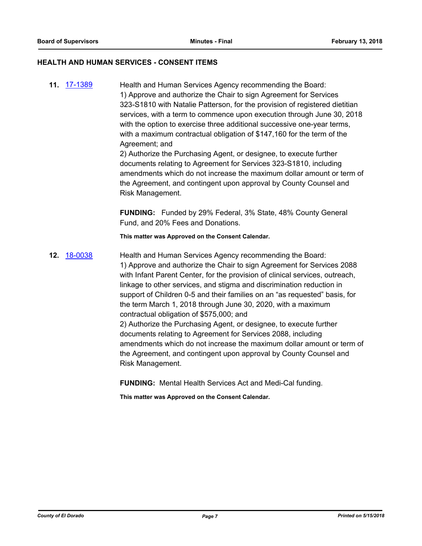#### **HEALTH AND HUMAN SERVICES - CONSENT ITEMS**

**11.** [17-1389](http://eldorado.legistar.com/gateway.aspx?m=l&id=/matter.aspx?key=23335) Health and Human Services Agency recommending the Board: 1) Approve and authorize the Chair to sign Agreement for Services 323-S1810 with Natalie Patterson, for the provision of registered dietitian services, with a term to commence upon execution through June 30, 2018 with the option to exercise three additional successive one-year terms, with a maximum contractual obligation of \$147,160 for the term of the Agreement; and

2) Authorize the Purchasing Agent, or designee, to execute further documents relating to Agreement for Services 323-S1810, including amendments which do not increase the maximum dollar amount or term of the Agreement, and contingent upon approval by County Counsel and Risk Management.

**FUNDING:** Funded by 29% Federal, 3% State, 48% County General Fund, and 20% Fees and Donations.

**This matter was Approved on the Consent Calendar.**

**12.** [18-0038](http://eldorado.legistar.com/gateway.aspx?m=l&id=/matter.aspx?key=23379) Health and Human Services Agency recommending the Board: 1) Approve and authorize the Chair to sign Agreement for Services 2088 with Infant Parent Center, for the provision of clinical services, outreach, linkage to other services, and stigma and discrimination reduction in support of Children 0-5 and their families on an "as requested" basis, for the term March 1, 2018 through June 30, 2020, with a maximum contractual obligation of \$575,000; and 2) Authorize the Purchasing Agent, or designee, to execute further documents relating to Agreement for Services 2088, including amendments which do not increase the maximum dollar amount or term of the Agreement, and contingent upon approval by County Counsel and Risk Management.

**FUNDING:** Mental Health Services Act and Medi-Cal funding.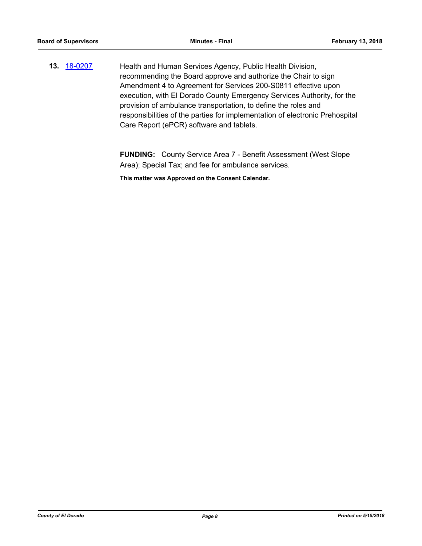**13.** [18-0207](http://eldorado.legistar.com/gateway.aspx?m=l&id=/matter.aspx?key=23549) Health and Human Services Agency, Public Health Division, recommending the Board approve and authorize the Chair to sign Amendment 4 to Agreement for Services 200-S0811 effective upon execution, with El Dorado County Emergency Services Authority, for the provision of ambulance transportation, to define the roles and responsibilities of the parties for implementation of electronic Prehospital Care Report (ePCR) software and tablets.

> **FUNDING:** County Service Area 7 - Benefit Assessment (West Slope Area); Special Tax; and fee for ambulance services.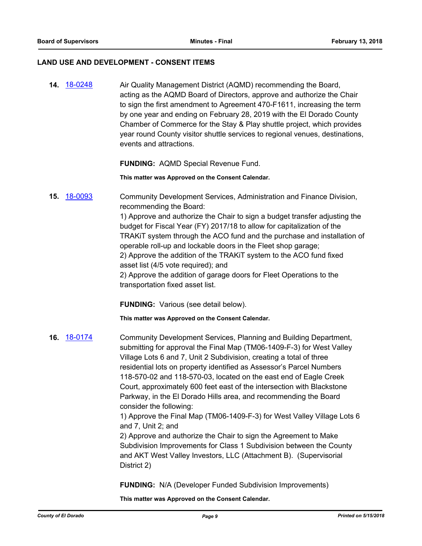#### **LAND USE AND DEVELOPMENT - CONSENT ITEMS**

**14.** [18-0248](http://eldorado.legistar.com/gateway.aspx?m=l&id=/matter.aspx?key=23591) Air Quality Management District (AQMD) recommending the Board, acting as the AQMD Board of Directors, approve and authorize the Chair to sign the first amendment to Agreement 470-F1611, increasing the term by one year and ending on February 28, 2019 with the El Dorado County Chamber of Commerce for the Stay & Play shuttle project, which provides year round County visitor shuttle services to regional venues, destinations, events and attractions.

**FUNDING:** AQMD Special Revenue Fund.

**This matter was Approved on the Consent Calendar.**

**15.** [18-0093](http://eldorado.legistar.com/gateway.aspx?m=l&id=/matter.aspx?key=23434) Community Development Services, Administration and Finance Division, recommending the Board:

> 1) Approve and authorize the Chair to sign a budget transfer adjusting the budget for Fiscal Year (FY) 2017/18 to allow for capitalization of the TRAKiT system through the ACO fund and the purchase and installation of operable roll-up and lockable doors in the Fleet shop garage; 2) Approve the addition of the TRAKiT system to the ACO fund fixed asset list (4/5 vote required); and

2) Approve the addition of garage doors for Fleet Operations to the transportation fixed asset list.

**FUNDING:** Various (see detail below).

**This matter was Approved on the Consent Calendar.**

**16.** [18-0174](http://eldorado.legistar.com/gateway.aspx?m=l&id=/matter.aspx?key=23516) Community Development Services, Planning and Building Department, submitting for approval the Final Map (TM06-1409-F-3) for West Valley Village Lots 6 and 7, Unit 2 Subdivision, creating a total of three residential lots on property identified as Assessor's Parcel Numbers 118-570-02 and 118-570-03, located on the east end of Eagle Creek Court, approximately 600 feet east of the intersection with Blackstone Parkway, in the El Dorado Hills area, and recommending the Board consider the following: 1) Approve the Final Map (TM06-1409-F-3) for West Valley Village Lots 6

> and 7, Unit 2; and 2) Approve and authorize the Chair to sign the Agreement to Make

Subdivision Improvements for Class 1 Subdivision between the County and AKT West Valley Investors, LLC (Attachment B). (Supervisorial District 2)

**FUNDING:** N/A (Developer Funded Subdivision Improvements)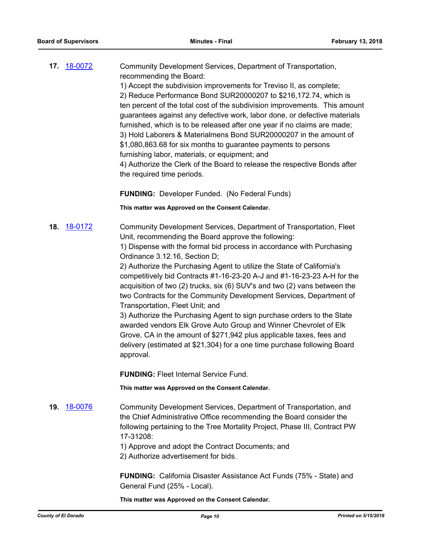| 17. 18-0072 | Community Development Services, Department of Transportation,              |
|-------------|----------------------------------------------------------------------------|
|             | recommending the Board:                                                    |
|             | 1) Accept the subdivision improvements for Treviso II, as complete;        |
|             | 2) Reduce Performance Bond SUR20000207 to \$216,172.74, which is           |
|             | ten percent of the total cost of the subdivision improvements. This amount |
|             | guarantees against any defective work, labor done, or defective materials  |
|             |                                                                            |

furnished, which is to be released after one year if no claims are made; 3) Hold Laborers & Materialmens Bond SUR20000207 in the amount of \$1,080,863.68 for six months to guarantee payments to persons furnishing labor, materials, or equipment; and

4) Authorize the Clerk of the Board to release the respective Bonds after the required time periods.

**FUNDING:** Developer Funded. (No Federal Funds)

**This matter was Approved on the Consent Calendar.**

**18.** [18-0172](http://eldorado.legistar.com/gateway.aspx?m=l&id=/matter.aspx?key=23514) Community Development Services, Department of Transportation, Fleet Unit, recommending the Board approve the following:

1) Dispense with the formal bid process in accordance with Purchasing Ordinance 3.12.16, Section D;

2) Authorize the Purchasing Agent to utilize the State of California's competitively bid Contracts #1-16-23-20 A-J and #1-16-23-23 A-H for the acquisition of two (2) trucks, six (6) SUV's and two (2) vans between the two Contracts for the Community Development Services, Department of Transportation, Fleet Unit; and

3) Authorize the Purchasing Agent to sign purchase orders to the State awarded vendors Elk Grove Auto Group and Winner Chevrolet of Elk Grove, CA in the amount of \$271,942 plus applicable taxes, fees and delivery (estimated at \$21,304) for a one time purchase following Board approval.

**FUNDING:** Fleet Internal Service Fund.

**This matter was Approved on the Consent Calendar.**

**19.** [18-0076](http://eldorado.legistar.com/gateway.aspx?m=l&id=/matter.aspx?key=23417) Community Development Services, Department of Transportation, and the Chief Administrative Office recommending the Board consider the following pertaining to the Tree Mortality Project, Phase III, Contract PW 17-31208:

1) Approve and adopt the Contract Documents; and

2) Authorize advertisement for bids.

**FUNDING:** California Disaster Assistance Act Funds (75% - State) and General Fund (25% - Local).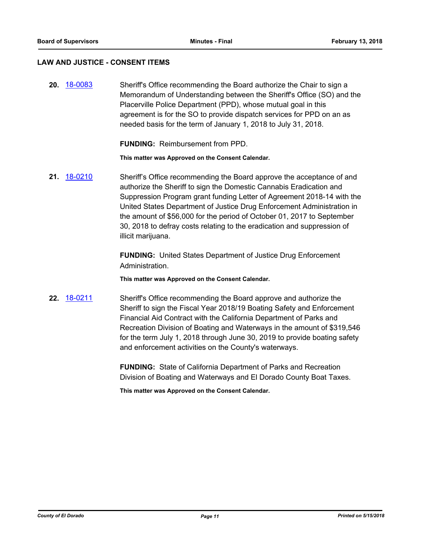#### **LAW AND JUSTICE - CONSENT ITEMS**

**20.** [18-0083](http://eldorado.legistar.com/gateway.aspx?m=l&id=/matter.aspx?key=23424) Sheriff's Office recommending the Board authorize the Chair to sign a Memorandum of Understanding between the Sheriff's Office (SO) and the Placerville Police Department (PPD), whose mutual goal in this agreement is for the SO to provide dispatch services for PPD on an as needed basis for the term of January 1, 2018 to July 31, 2018.

**FUNDING:** Reimbursement from PPD.

**This matter was Approved on the Consent Calendar.**

**21.** [18-0210](http://eldorado.legistar.com/gateway.aspx?m=l&id=/matter.aspx?key=23552) Sheriff's Office recommending the Board approve the acceptance of and authorize the Sheriff to sign the Domestic Cannabis Eradication and Suppression Program grant funding Letter of Agreement 2018-14 with the United States Department of Justice Drug Enforcement Administration in the amount of \$56,000 for the period of October 01, 2017 to September 30, 2018 to defray costs relating to the eradication and suppression of illicit marijuana.

> **FUNDING:** United States Department of Justice Drug Enforcement Administration.

**This matter was Approved on the Consent Calendar.**

**22.** [18-0211](http://eldorado.legistar.com/gateway.aspx?m=l&id=/matter.aspx?key=23553) Sheriff's Office recommending the Board approve and authorize the Sheriff to sign the Fiscal Year 2018/19 Boating Safety and Enforcement Financial Aid Contract with the California Department of Parks and Recreation Division of Boating and Waterways in the amount of \$319,546 for the term July 1, 2018 through June 30, 2019 to provide boating safety and enforcement activities on the County's waterways.

> **FUNDING:** State of California Department of Parks and Recreation Division of Boating and Waterways and El Dorado County Boat Taxes.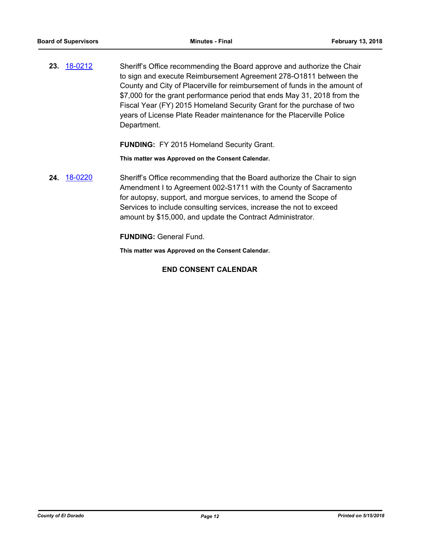**23.** [18-0212](http://eldorado.legistar.com/gateway.aspx?m=l&id=/matter.aspx?key=23554) Sheriff's Office recommending the Board approve and authorize the Chair to sign and execute Reimbursement Agreement 278-O1811 between the County and City of Placerville for reimbursement of funds in the amount of \$7,000 for the grant performance period that ends May 31, 2018 from the Fiscal Year (FY) 2015 Homeland Security Grant for the purchase of two years of License Plate Reader maintenance for the Placerville Police Department.

**FUNDING:** FY 2015 Homeland Security Grant.

**This matter was Approved on the Consent Calendar.**

**24.** [18-0220](http://eldorado.legistar.com/gateway.aspx?m=l&id=/matter.aspx?key=23562) Sheriff's Office recommending that the Board authorize the Chair to sign Amendment I to Agreement 002-S1711 with the County of Sacramento for autopsy, support, and morgue services, to amend the Scope of Services to include consulting services, increase the not to exceed amount by \$15,000, and update the Contract Administrator.

**FUNDING:** General Fund.

**This matter was Approved on the Consent Calendar.**

## **END CONSENT CALENDAR**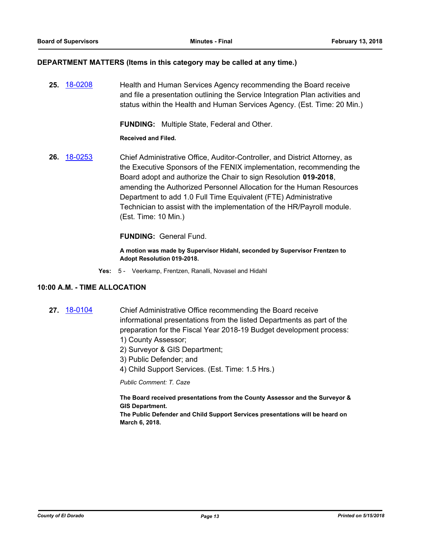#### **DEPARTMENT MATTERS (Items in this category may be called at any time.)**

**25.** [18-0208](http://eldorado.legistar.com/gateway.aspx?m=l&id=/matter.aspx?key=23550) Health and Human Services Agency recommending the Board receive and file a presentation outlining the Service Integration Plan activities and status within the Health and Human Services Agency. (Est. Time: 20 Min.)

**FUNDING:** Multiple State, Federal and Other.

**Received and Filed.**

**26.** [18-0253](http://eldorado.legistar.com/gateway.aspx?m=l&id=/matter.aspx?key=23596) Chief Administrative Office, Auditor-Controller, and District Attorney, as the Executive Sponsors of the FENIX implementation, recommending the Board adopt and authorize the Chair to sign Resolution **019-2018**, amending the Authorized Personnel Allocation for the Human Resources Department to add 1.0 Full Time Equivalent (FTE) Administrative Technician to assist with the implementation of the HR/Payroll module. (Est. Time: 10 Min.)

**FUNDING:** General Fund.

**A motion was made by Supervisor Hidahl, seconded by Supervisor Frentzen to Adopt Resolution 019-2018.**

**Yes:** 5 - Veerkamp, Frentzen, Ranalli, Novasel and Hidahl

#### **10:00 A.M. - TIME ALLOCATION**

- **27.** [18-0104](http://eldorado.legistar.com/gateway.aspx?m=l&id=/matter.aspx?key=23446) Chief Administrative Office recommending the Board receive informational presentations from the listed Departments as part of the preparation for the Fiscal Year 2018-19 Budget development process: 1) County Assessor;
	- 2) Surveyor & GIS Department;
	- 3) Public Defender; and
	- 4) Child Support Services. (Est. Time: 1.5 Hrs.)

*Public Comment: T. Caze*

**The Board received presentations from the County Assessor and the Surveyor & GIS Department.**

**The Public Defender and Child Support Services presentations will be heard on March 6, 2018.**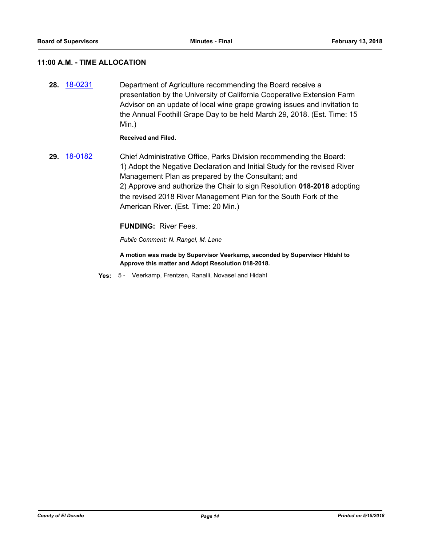## **11:00 A.M. - TIME ALLOCATION**

**28.** [18-0231](http://eldorado.legistar.com/gateway.aspx?m=l&id=/matter.aspx?key=23573) Department of Agriculture recommending the Board receive a presentation by the University of California Cooperative Extension Farm Advisor on an update of local wine grape growing issues and invitation to the Annual Foothill Grape Day to be held March 29, 2018. (Est. Time: 15 Min.)

**Received and Filed.**

**29.** [18-0182](http://eldorado.legistar.com/gateway.aspx?m=l&id=/matter.aspx?key=23524) Chief Administrative Office, Parks Division recommending the Board: 1) Adopt the Negative Declaration and Initial Study for the revised River Management Plan as prepared by the Consultant; and 2) Approve and authorize the Chair to sign Resolution **018-2018** adopting the revised 2018 River Management Plan for the South Fork of the American River. (Est. Time: 20 Min.)

#### **FUNDING:** River Fees.

*Public Comment: N. Rangel, M. Lane*

**A motion was made by Supervisor Veerkamp, seconded by Supervisor HIdahl to Approve this matter and Adopt Resolution 018-2018.**

**Yes:** 5 - Veerkamp, Frentzen, Ranalli, Novasel and Hidahl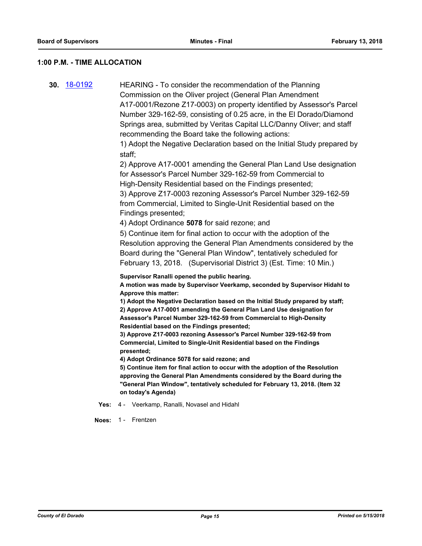#### **1:00 P.M. - TIME ALLOCATION**

**30.** [18-0192](http://eldorado.legistar.com/gateway.aspx?m=l&id=/matter.aspx?key=23534) HEARING - To consider the recommendation of the Planning Commission on the Oliver project (General Plan Amendment A17-0001/Rezone Z17-0003) on property identified by Assessor's Parcel Number 329-162-59, consisting of 0.25 acre, in the El Dorado/Diamond Springs area, submitted by Veritas Capital LLC/Danny Oliver; and staff recommending the Board take the following actions:

> 1) Adopt the Negative Declaration based on the Initial Study prepared by staff;

> 2) Approve A17-0001 amending the General Plan Land Use designation for Assessor's Parcel Number 329-162-59 from Commercial to High-Density Residential based on the Findings presented;

3) Approve Z17-0003 rezoning Assessor's Parcel Number 329-162-59 from Commercial, Limited to Single-Unit Residential based on the Findings presented;

4) Adopt Ordinance **5078** for said rezone; and

5) Continue item for final action to occur with the adoption of the Resolution approving the General Plan Amendments considered by the Board during the "General Plan Window", tentatively scheduled for February 13, 2018. (Supervisorial District 3) (Est. Time: 10 Min.)

**Supervisor Ranalli opened the public hearing.**

**A motion was made by Supervisor Veerkamp, seconded by Supervisor Hidahl to Approve this matter:**

**1) Adopt the Negative Declaration based on the Initial Study prepared by staff; 2) Approve A17-0001 amending the General Plan Land Use designation for Assessor's Parcel Number 329-162-59 from Commercial to High-Density Residential based on the Findings presented;** 

**3) Approve Z17-0003 rezoning Assessor's Parcel Number 329-162-59 from Commercial, Limited to Single-Unit Residential based on the Findings presented;**

**4) Adopt Ordinance 5078 for said rezone; and**

**5) Continue item for final action to occur with the adoption of the Resolution approving the General Plan Amendments considered by the Board during the "General Plan Window", tentatively scheduled for February 13, 2018. (Item 32 on today's Agenda)**

**Yes:** 4 - Veerkamp, Ranalli, Novasel and Hidahl

**Noes:** 1 - Frentzen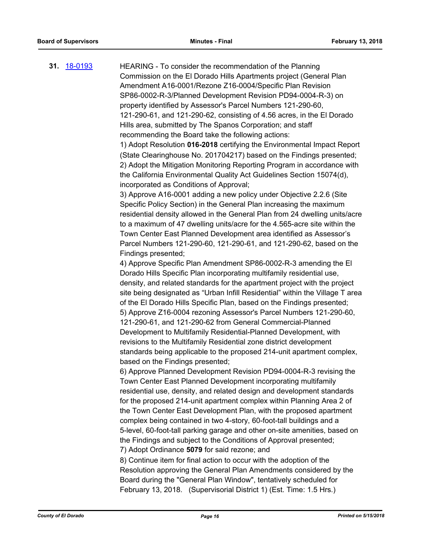**31.** [18-0193](http://eldorado.legistar.com/gateway.aspx?m=l&id=/matter.aspx?key=23535) HEARING - To consider the recommendation of the Planning Commission on the El Dorado Hills Apartments project (General Plan Amendment A16-0001/Rezone Z16-0004/Specific Plan Revision SP86-0002-R-3/Planned Development Revision PD94-0004-R-3) on property identified by Assessor's Parcel Numbers 121-290-60, 121-290-61, and 121-290-62, consisting of 4.56 acres, in the El Dorado Hills area, submitted by The Spanos Corporation; and staff recommending the Board take the following actions: 1) Adopt Resolution **016-2018** certifying the Environmental Impact Report (State Clearinghouse No. 201704217) based on the Findings presented; 2) Adopt the Mitigation Monitoring Reporting Program in accordance with the California Environmental Quality Act Guidelines Section 15074(d), incorporated as Conditions of Approval; 3) Approve A16-0001 adding a new policy under Objective 2.2.6 (Site Specific Policy Section) in the General Plan increasing the maximum residential density allowed in the General Plan from 24 dwelling units/acre

to a maximum of 47 dwelling units/acre for the 4.565-acre site within the Town Center East Planned Development area identified as Assessor's Parcel Numbers 121-290-60, 121-290-61, and 121-290-62, based on the Findings presented;

4) Approve Specific Plan Amendment SP86-0002-R-3 amending the El Dorado Hills Specific Plan incorporating multifamily residential use, density, and related standards for the apartment project with the project site being designated as "Urban Infill Residential" within the Village T area of the El Dorado Hills Specific Plan, based on the Findings presented; 5) Approve Z16-0004 rezoning Assessor's Parcel Numbers 121-290-60, 121-290-61, and 121-290-62 from General Commercial-Planned Development to Multifamily Residential-Planned Development, with revisions to the Multifamily Residential zone district development standards being applicable to the proposed 214-unit apartment complex, based on the Findings presented;

6) Approve Planned Development Revision PD94-0004-R-3 revising the Town Center East Planned Development incorporating multifamily residential use, density, and related design and development standards for the proposed 214-unit apartment complex within Planning Area 2 of the Town Center East Development Plan, with the proposed apartment complex being contained in two 4-story, 60-foot-tall buildings and a 5-level, 60-foot-tall parking garage and other on-site amenities, based on the Findings and subject to the Conditions of Approval presented; 7) Adopt Ordinance **5079** for said rezone; and

8) Continue item for final action to occur with the adoption of the Resolution approving the General Plan Amendments considered by the Board during the "General Plan Window", tentatively scheduled for February 13, 2018. (Supervisorial District 1) (Est. Time: 1.5 Hrs.)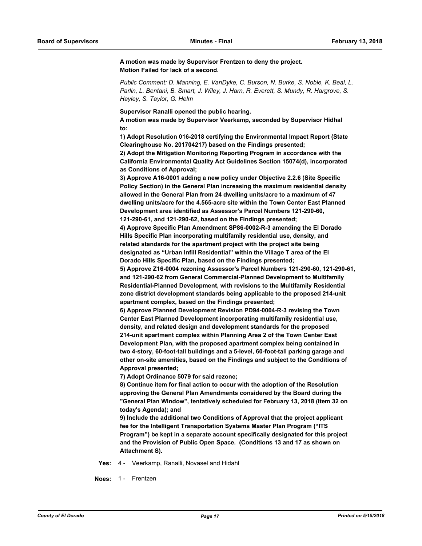**A motion was made by Supervisor Frentzen to deny the project. Motion Failed for lack of a second.**

*Public Comment: D. Manning, E. VanDyke, C. Burson, N. Burke, S. Noble, K. Beal, L. Parlin, L. Bentani, B. Smart, J. Wiley, J. Harn, R. Everett, S. Mundy, R. Hargrove, S. Hayley, S. Taylor, G. Helm*

**Supervisor Ranalli opened the public hearing.**

**A motion was made by Supervisor Veerkamp, seconded by Supervisor Hidhal to:** 

**1) Adopt Resolution 016-2018 certifying the Environmental Impact Report (State Clearinghouse No. 201704217) based on the Findings presented;**

**2) Adopt the Mitigation Monitoring Reporting Program in accordance with the California Environmental Quality Act Guidelines Section 15074(d), incorporated as Conditions of Approval;**

**3) Approve A16-0001 adding a new policy under Objective 2.2.6 (Site Specific Policy Section) in the General Plan increasing the maximum residential density allowed in the General Plan from 24 dwelling units/acre to a maximum of 47 dwelling units/acre for the 4.565-acre site within the Town Center East Planned Development area identified as Assessor's Parcel Numbers 121-290-60, 121-290-61, and 121-290-62, based on the Findings presented;**

**4) Approve Specific Plan Amendment SP86-0002-R-3 amending the El Dorado Hills Specific Plan incorporating multifamily residential use, density, and related standards for the apartment project with the project site being designated as "Urban Infill Residential" within the Village T area of the El Dorado Hills Specific Plan, based on the Findings presented;**

**5) Approve Z16-0004 rezoning Assessor's Parcel Numbers 121-290-60, 121-290-61, and 121-290-62 from General Commercial-Planned Development to Multifamily Residential-Planned Development, with revisions to the Multifamily Residential zone district development standards being applicable to the proposed 214-unit apartment complex, based on the Findings presented;**

**6) Approve Planned Development Revision PD94-0004-R-3 revising the Town Center East Planned Development incorporating multifamily residential use, density, and related design and development standards for the proposed 214-unit apartment complex within Planning Area 2 of the Town Center East Development Plan, with the proposed apartment complex being contained in two 4-story, 60-foot-tall buildings and a 5-level, 60-foot-tall parking garage and other on-site amenities, based on the Findings and subject to the Conditions of Approval presented;**

**7) Adopt Ordinance 5079 for said rezone;** 

**8) Continue item for final action to occur with the adoption of the Resolution approving the General Plan Amendments considered by the Board during the "General Plan Window", tentatively scheduled for February 13, 2018 (Item 32 on today's Agenda); and**

**9) Include the additional two Conditions of Approval that the project applicant fee for the Intelligent Transportation Systems Master Plan Program ("ITS Program") be kept in a separate account specifically designated for this project and the Provision of Public Open Space. (Conditions 13 and 17 as shown on Attachment S).**

**Yes:** 4 - Veerkamp, Ranalli, Novasel and Hidahl

**Noes:** 1 - Frentzen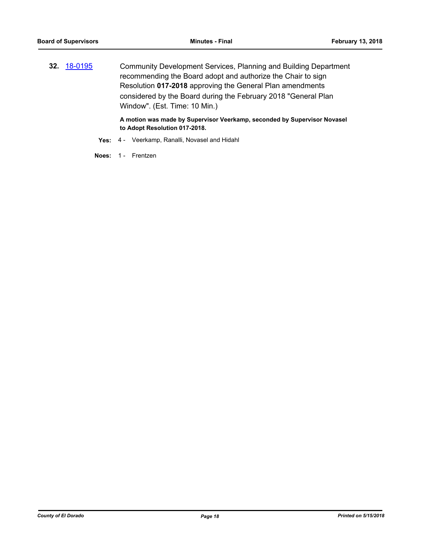**32.** [18-0195](http://eldorado.legistar.com/gateway.aspx?m=l&id=/matter.aspx?key=23537) Community Development Services, Planning and Building Department recommending the Board adopt and authorize the Chair to sign Resolution **017-2018** approving the General Plan amendments considered by the Board during the February 2018 "General Plan Window". (Est. Time: 10 Min.)

> **A motion was made by Supervisor Veerkamp, seconded by Supervisor Novasel to Adopt Resolution 017-2018.**

- **Yes:** 4 Veerkamp, Ranalli, Novasel and Hidahl
- **Noes:** 1 Frentzen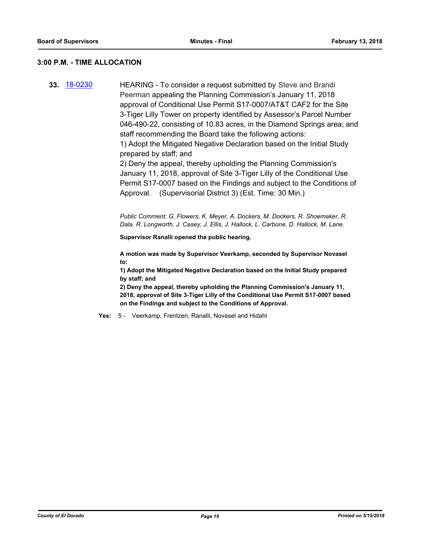#### **3:00 P.M. - TIME ALLOCATION**

**33.** [18-0230](http://eldorado.legistar.com/gateway.aspx?m=l&id=/matter.aspx?key=23572) HEARING - To consider a request submitted by Steve and Brandi Peerman appealing the Planning Commission's January 11, 2018 approval of Conditional Use Permit S17-0007/AT&T CAF2 for the Site 3-Tiger Lilly Tower on property identified by Assessor's Parcel Number 046-490-22, consisting of 10.83 acres, in the Diamond Springs area; and staff recommending the Board take the following actions: 1) Adopt the Mitigated Negative Declaration based on the Initial Study prepared by staff; and 2) Deny the appeal, thereby upholding the Planning Commission's January 11, 2018, approval of Site 3-Tiger Lilly of the Conditional Use Permit S17-0007 based on the Findings and subject to the Conditions of Approval. (Supervisorial District 3) (Est. Time: 30 Min.)

> *Public Comment: G. Flowers, K. Meyer, A. Dockers, M. Dockers, R. Shoemaker, R. Dala, R. Longworth, J. Casey, J. Ellis, J. Hallock, L. Carbone, D. Hallock, M. Lane.*

**Supervisor Ranalli opened the public hearing.**

**A motion was made by Supervisor Veerkamp, seconded by Supervisor Novasel to:**

**1) Adopt the Mitigated Negative Declaration based on the Initial Study prepared by staff; and** 

**2) Deny the appeal, thereby upholding the Planning Commission's January 11, 2018, approval of Site 3-Tiger Lilly of the Conditional Use Permit S17-0007 based on the Findings and subject to the Conditions of Approval.**

**Yes:** 5 - Veerkamp, Frentzen, Ranalli, Novasel and Hidahl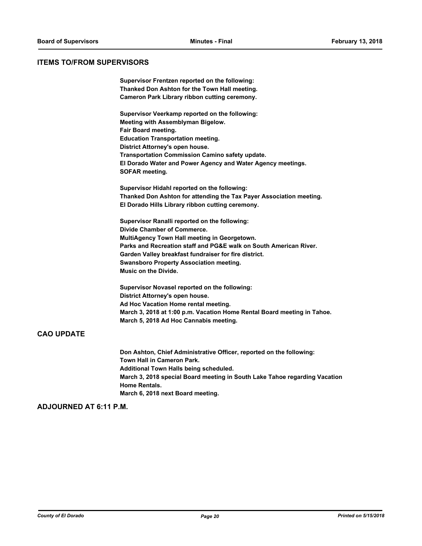## **ITEMS TO/FROM SUPERVISORS**

|                   | Supervisor Frentzen reported on the following:                                                                             |
|-------------------|----------------------------------------------------------------------------------------------------------------------------|
|                   | Thanked Don Ashton for the Town Hall meeting.                                                                              |
|                   | Cameron Park Library ribbon cutting ceremony.                                                                              |
|                   | Supervisor Veerkamp reported on the following:                                                                             |
|                   | Meeting with Assemblyman Bigelow.                                                                                          |
|                   | Fair Board meeting.                                                                                                        |
|                   | <b>Education Transportation meeting.</b>                                                                                   |
|                   | District Attorney's open house.                                                                                            |
|                   | Transportation Commission Camino safety update.                                                                            |
|                   | El Dorado Water and Power Agency and Water Agency meetings.<br><b>SOFAR meeting.</b>                                       |
|                   | Supervisor Hidahl reported on the following:                                                                               |
|                   | Thanked Don Ashton for attending the Tax Payer Association meeting.                                                        |
|                   | El Dorado Hills Library ribbon cutting ceremony.                                                                           |
|                   | Supervisor Ranalli reported on the following:                                                                              |
|                   | Divide Chamber of Commerce.                                                                                                |
|                   | MultiAgency Town Hall meeting in Georgetown.                                                                               |
|                   | Parks and Recreation staff and PG&E walk on South American River.<br>Garden Valley breakfast fundraiser for fire district. |
|                   | <b>Swansboro Property Association meeting.</b>                                                                             |
|                   | Music on the Divide.                                                                                                       |
|                   | Supervisor Novasel reported on the following:                                                                              |
|                   | District Attorney's open house.                                                                                            |
|                   | Ad Hoc Vacation Home rental meeting.                                                                                       |
|                   | March 3, 2018 at 1:00 p.m. Vacation Home Rental Board meeting in Tahoe.                                                    |
|                   | March 5, 2018 Ad Hoc Cannabis meeting.                                                                                     |
| <b>CAO UPDATE</b> |                                                                                                                            |
|                   | Don Ashton, Chief Administrative Officer, reported on the following:                                                       |

**Town Hall in Cameron Park. Additional Town Halls being scheduled. March 3, 2018 special Board meeting in South Lake Tahoe regarding Vacation Home Rentals. March 6, 2018 next Board meeting.**

### **ADJOURNED AT 6:11 P.M.**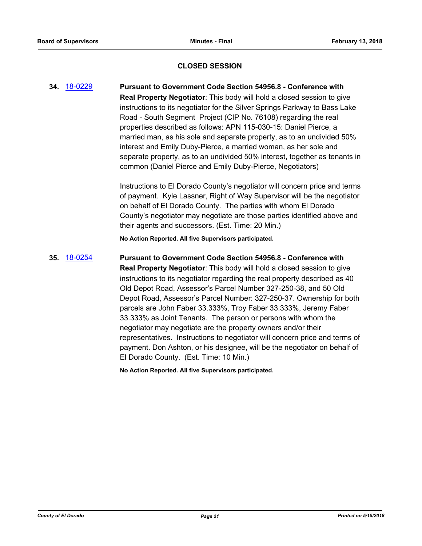## **CLOSED SESSION**

**34.** [18-0229](http://eldorado.legistar.com/gateway.aspx?m=l&id=/matter.aspx?key=23571) **Pursuant to Government Code Section 54956.8 - Conference with Real Property Negotiator**: This body will hold a closed session to give instructions to its negotiator for the Silver Springs Parkway to Bass Lake Road - South Segment Project (CIP No. 76108) regarding the real properties described as follows: APN 115-030-15: Daniel Pierce, a married man, as his sole and separate property, as to an undivided 50% interest and Emily Duby-Pierce, a married woman, as her sole and separate property, as to an undivided 50% interest, together as tenants in common (Daniel Pierce and Emily Duby-Pierce, Negotiators)

> Instructions to El Dorado County's negotiator will concern price and terms of payment. Kyle Lassner, Right of Way Supervisor will be the negotiator on behalf of El Dorado County. The parties with whom El Dorado County's negotiator may negotiate are those parties identified above and their agents and successors. (Est. Time: 20 Min.)

**No Action Reported. All five Supervisors participated.**

## **35.** [18-0254](http://eldorado.legistar.com/gateway.aspx?m=l&id=/matter.aspx?key=23597) **Pursuant to Government Code Section 54956.8 - Conference with Real Property Negotiator**: This body will hold a closed session to give instructions to its negotiator regarding the real property described as 40 Old Depot Road, Assessor's Parcel Number 327-250-38, and 50 Old Depot Road, Assessor's Parcel Number: 327-250-37. Ownership for both parcels are John Faber 33.333%, Troy Faber 33.333%, Jeremy Faber 33.333% as Joint Tenants. The person or persons with whom the negotiator may negotiate are the property owners and/or their representatives. Instructions to negotiator will concern price and terms of payment. Don Ashton, or his designee, will be the negotiator on behalf of El Dorado County. (Est. Time: 10 Min.)

**No Action Reported. All five Supervisors participated.**